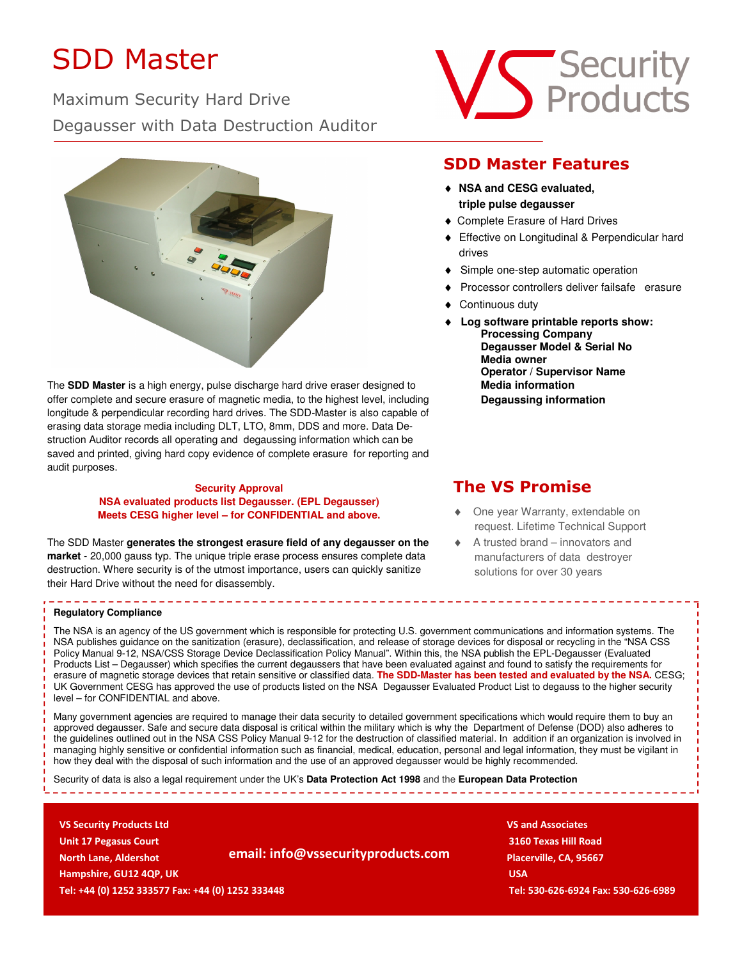# SDD Master

Maximum Security Hard Drive Degausser with Data Destruction Auditor



The **SDD Master** is a high energy, pulse discharge hard drive eraser designed to offer complete and secure erasure of magnetic media, to the highest level, including longitude & perpendicular recording hard drives. The SDD-Master is also capable of erasing data storage media including DLT, LTO, 8mm, DDS and more. Data Destruction Auditor records all operating and degaussing information which can be saved and printed, giving hard copy evidence of complete erasure for reporting and audit purposes.

### **Security Approval NSA evaluated products list Degausser. (EPL Degausser) Meets CESG higher level – for CONFIDENTIAL and above.**

The SDD Master **generates the strongest erasure field of any degausser on the market** - 20,000 gauss typ. The unique triple erase process ensures complete data destruction. Where security is of the utmost importance, users can quickly sanitize their Hard Drive without the need for disassembly.

### **Regulatory Compliance**

The NSA is an agency of the US government which is responsible for protecting U.S. government communications and information systems. The NSA publishes guidance on the sanitization (erasure), declassification, and release of storage devices for disposal or recycling in the "NSA CSS Policy Manual 9-12, NSA/CSS Storage Device Declassification Policy Manual". Within this, the NSA publish the EPL-Degausser (Evaluated Products List – Degausser) which specifies the current degaussers that have been evaluated against and found to satisfy the requirements for erasure of magnetic storage devices that retain sensitive or classified data. **The SDD-Master has been tested and evaluated by the NSA.** CESG; UK Government CESG has approved the use of products listed on the NSA Degausser Evaluated Product List to degauss to the higher security level – for CONFIDENTIAL and above.

----------------------

Many government agencies are required to manage their data security to detailed government specifications which would require them to buy an approved degausser. Safe and secure data disposal is critical within the military which is why the Department of Defense (DOD) also adheres to the guidelines outlined out in the NSA CSS Policy Manual 9-12 for the destruction of classified material. In addition if an organization is involved in managing highly sensitive or confidential information such as financial, medical, education, personal and legal information, they must be vigilant in how they deal with the disposal of such information and the use of an approved degausser would be highly recommended.

Security of data is also a legal requirement under the UK's **Data Protection Act 1998** and the **European Data Protection** 

 **VS Security Products Ltd** VS and Associates *CS and Associates* **<b>VS and Associates VS and Associates VS** and Associates **VS** and Associates **VS** and Associates **VS** and Associates **VS** and Associates **VS** and Associ  **Unit 17 Pegasus Court 3160 Texas Hill Road North Lane, Aldershot Placerville, CA, 95667 email: info@vssecurityproducts.com** Placerville, CA, 95667  **Hampshire, GU12 4QP, UK USA A LICENSE AND LICENSE AND LICENSE AND LICENSE AND LICENSE AND LICENSE AND LICENSE Tel: +44 (0) 1252 333577 Fax: +44 (0) 1252 333448 Tel: 530-626-6924 Fax: 530-626-6989** 





## **SDD Master Features**

- ♦ **NSA and CESG evaluated, triple pulse degausser**
- ♦ Complete Erasure of Hard Drives
- ♦ Effective on Longitudinal & Perpendicular hard drives
- ♦ Simple one-step automatic operation
- ♦ Processor controllers deliver failsafe erasure
- ♦ Continuous duty
- **Log software printable reports show: Processing Company Degausser Model & Serial No Media owner Operator / Supervisor Name Media information Degaussing information**

## **The VS Promise**

- ♦ One year Warranty, extendable on request. Lifetime Technical Support
- ♦ A trusted brand innovators and manufacturers of data destroyer solutions for over 30 years